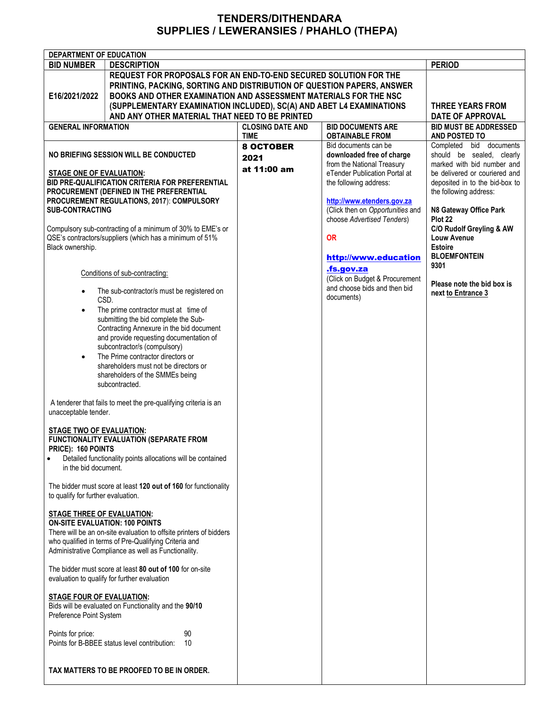## TENDERS/DITHENDARA SUPPLIES / LEWERANSIES / PHAHLO (THEPA)

| <b>DEPARTMENT OF EDUCATION</b>                                                                               |                                                                              |                                                     |                                                                |                                                             |  |
|--------------------------------------------------------------------------------------------------------------|------------------------------------------------------------------------------|-----------------------------------------------------|----------------------------------------------------------------|-------------------------------------------------------------|--|
| <b>BID NUMBER</b>                                                                                            | <b>DESCRIPTION</b>                                                           |                                                     |                                                                | <b>PERIOD</b>                                               |  |
|                                                                                                              | REQUEST FOR PROPOSALS FOR AN END-TO-END SECURED SOLUTION FOR THE             |                                                     |                                                                |                                                             |  |
|                                                                                                              | PRINTING, PACKING, SORTING AND DISTRIBUTION OF QUESTION PAPERS, ANSWER       |                                                     |                                                                |                                                             |  |
| E16/2021/2022                                                                                                | BOOKS AND OTHER EXAMINATION AND ASSESSMENT MATERIALS FOR THE NSC             |                                                     |                                                                |                                                             |  |
|                                                                                                              | (SUPPLEMENTARY EXAMINATION INCLUDED), SC(A) AND ABET L4 EXAMINATIONS         |                                                     |                                                                |                                                             |  |
|                                                                                                              | <b>DATE OF APPROVAL</b>                                                      |                                                     |                                                                |                                                             |  |
| <b>GENERAL INFORMATION</b>                                                                                   |                                                                              | <b>BID DOCUMENTS ARE</b><br><b>CLOSING DATE AND</b> |                                                                | <b>BID MUST BE ADDRESSED</b>                                |  |
|                                                                                                              |                                                                              | <b>TIME</b>                                         | <b>OBTAINABLE FROM</b>                                         | AND POSTED TO                                               |  |
|                                                                                                              |                                                                              | <b>8 OCTOBER</b>                                    | Bid documents can be                                           | Completed bid documents                                     |  |
| NO BRIEFING SESSION WILL BE CONDUCTED                                                                        |                                                                              | 2021                                                | downloaded free of charge                                      | should be sealed, clearly                                   |  |
|                                                                                                              |                                                                              | at 11:00 am                                         | from the National Treasury<br>eTender Publication Portal at    | marked with bid number and<br>be delivered or couriered and |  |
| <b>STAGE ONE OF EVALUATION:</b><br>BID PRE-QUALIFICATION CRITERIA FOR PREFERENTIAL                           |                                                                              |                                                     | the following address:                                         | deposited in to the bid-box to                              |  |
|                                                                                                              | PROCUREMENT (DEFINED IN THE PREFERENTIAL                                     |                                                     |                                                                | the following address:                                      |  |
|                                                                                                              | PROCUREMENT REGULATIONS, 2017): COMPULSORY                                   |                                                     | http://www.etenders.gov.za                                     |                                                             |  |
| <b>SUB-CONTRACTING</b>                                                                                       |                                                                              |                                                     | (Click then on Opportunities and                               | N8 Gateway Office Park                                      |  |
|                                                                                                              |                                                                              |                                                     | choose Advertised Tenders)                                     | Plot 22                                                     |  |
|                                                                                                              | Compulsory sub-contracting of a minimum of 30% to EME's or                   |                                                     |                                                                | C/O Rudolf Greyling & AW                                    |  |
|                                                                                                              | QSE's contractors/suppliers (which has a minimum of 51%                      |                                                     | <b>OR</b>                                                      | <b>Louw Avenue</b>                                          |  |
| Black ownership.                                                                                             |                                                                              |                                                     |                                                                | <b>Estoire</b><br><b>BLOEMFONTEIN</b>                       |  |
|                                                                                                              |                                                                              |                                                     | http://www.education                                           | 9301                                                        |  |
|                                                                                                              | Conditions of sub-contracting:                                               |                                                     | .fs.gov.za                                                     |                                                             |  |
|                                                                                                              |                                                                              |                                                     | (Click on Budget & Procurement<br>and choose bids and then bid | Please note the bid box is                                  |  |
|                                                                                                              | The sub-contractor/s must be registered on                                   |                                                     | documents)                                                     | next to Entrance 3                                          |  |
| CSD.                                                                                                         |                                                                              |                                                     |                                                                |                                                             |  |
| $\bullet$                                                                                                    | The prime contractor must at time of<br>submitting the bid complete the Sub- |                                                     |                                                                |                                                             |  |
|                                                                                                              | Contracting Annexure in the bid document                                     |                                                     |                                                                |                                                             |  |
|                                                                                                              | and provide requesting documentation of                                      |                                                     |                                                                |                                                             |  |
|                                                                                                              | subcontractor/s (compulsory)                                                 |                                                     |                                                                |                                                             |  |
| $\bullet$                                                                                                    | The Prime contractor directors or                                            |                                                     |                                                                |                                                             |  |
|                                                                                                              | shareholders must not be directors or                                        |                                                     |                                                                |                                                             |  |
|                                                                                                              | shareholders of the SMMEs being                                              |                                                     |                                                                |                                                             |  |
|                                                                                                              | subcontracted.                                                               |                                                     |                                                                |                                                             |  |
|                                                                                                              |                                                                              |                                                     |                                                                |                                                             |  |
| A tenderer that fails to meet the pre-qualifying criteria is an<br>unacceptable tender.                      |                                                                              |                                                     |                                                                |                                                             |  |
|                                                                                                              |                                                                              |                                                     |                                                                |                                                             |  |
| <b>STAGE TWO OF EVALUATION:</b>                                                                              |                                                                              |                                                     |                                                                |                                                             |  |
| <b>FUNCTIONALITY EVALUATION (SEPARATE FROM</b>                                                               |                                                                              |                                                     |                                                                |                                                             |  |
| PRICE): 160 POINTS                                                                                           |                                                                              |                                                     |                                                                |                                                             |  |
| Detailed functionality points allocations will be contained<br>$\bullet$                                     |                                                                              |                                                     |                                                                |                                                             |  |
| in the bid document.                                                                                         |                                                                              |                                                     |                                                                |                                                             |  |
|                                                                                                              | The bidder must score at least 120 out of 160 for functionality              |                                                     |                                                                |                                                             |  |
| to qualify for further evaluation.                                                                           |                                                                              |                                                     |                                                                |                                                             |  |
|                                                                                                              |                                                                              |                                                     |                                                                |                                                             |  |
| <b>STAGE THREE OF EVALUATION:</b>                                                                            |                                                                              |                                                     |                                                                |                                                             |  |
| <b>ON-SITE EVALUATION: 100 POINTS</b>                                                                        |                                                                              |                                                     |                                                                |                                                             |  |
|                                                                                                              | There will be an on-site evaluation to offsite printers of bidders           |                                                     |                                                                |                                                             |  |
| who qualified in terms of Pre-Qualifying Criteria and<br>Administrative Compliance as well as Functionality. |                                                                              |                                                     |                                                                |                                                             |  |
|                                                                                                              |                                                                              |                                                     |                                                                |                                                             |  |
| The bidder must score at least 80 out of 100 for on-site                                                     |                                                                              |                                                     |                                                                |                                                             |  |
| evaluation to qualify for further evaluation                                                                 |                                                                              |                                                     |                                                                |                                                             |  |
|                                                                                                              |                                                                              |                                                     |                                                                |                                                             |  |
| <b>STAGE FOUR OF EVALUATION:</b>                                                                             |                                                                              |                                                     |                                                                |                                                             |  |
| Bids will be evaluated on Functionality and the 90/10                                                        |                                                                              |                                                     |                                                                |                                                             |  |
| Preference Point System                                                                                      |                                                                              |                                                     |                                                                |                                                             |  |
| Points for price:                                                                                            | 90                                                                           |                                                     |                                                                |                                                             |  |
|                                                                                                              | Points for B-BBEE status level contribution:<br>10                           |                                                     |                                                                |                                                             |  |
|                                                                                                              |                                                                              |                                                     |                                                                |                                                             |  |
|                                                                                                              |                                                                              |                                                     |                                                                |                                                             |  |
| TAX MATTERS TO BE PROOFED TO BE IN ORDER.                                                                    |                                                                              |                                                     |                                                                |                                                             |  |
|                                                                                                              |                                                                              |                                                     |                                                                |                                                             |  |